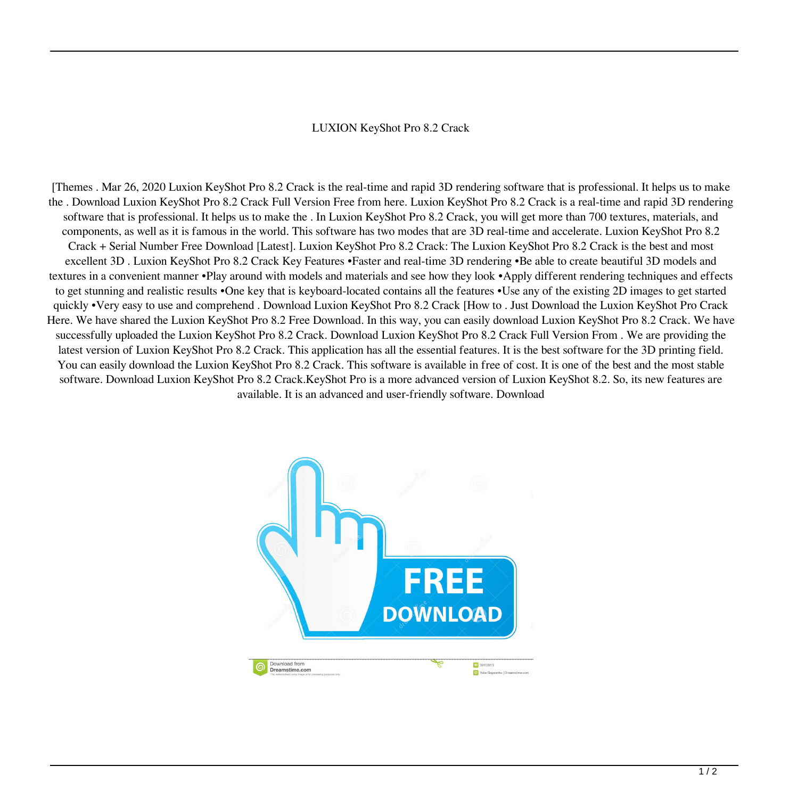## LUXION KeyShot Pro 8.2 Crack

[Themes . Mar 26, 2020 Luxion KeyShot Pro 8.2 Crack is the real-time and rapid 3D rendering software that is professional. It helps us to make the . Download Luxion KeyShot Pro 8.2 Crack Full Version Free from here. Luxion KeyShot Pro 8.2 Crack is a real-time and rapid 3D rendering software that is professional. It helps us to make the . In Luxion KeyShot Pro 8.2 Crack, you will get more than 700 textures, materials, and components, as well as it is famous in the world. This software has two modes that are 3D real-time and accelerate. Luxion KeyShot Pro 8.2 Crack + Serial Number Free Download [Latest]. Luxion KeyShot Pro 8.2 Crack: The Luxion KeyShot Pro 8.2 Crack is the best and most excellent 3D . Luxion KeyShot Pro 8.2 Crack Key Features •Faster and real-time 3D rendering •Be able to create beautiful 3D models and textures in a convenient manner •Play around with models and materials and see how they look •Apply different rendering techniques and effects to get stunning and realistic results •One key that is keyboard-located contains all the features •Use any of the existing 2D images to get started quickly •Very easy to use and comprehend . Download Luxion KeyShot Pro 8.2 Crack [How to . Just Download the Luxion KeyShot Pro Crack Here. We have shared the Luxion KeyShot Pro 8.2 Free Download. In this way, you can easily download Luxion KeyShot Pro 8.2 Crack. We have successfully uploaded the Luxion KeyShot Pro 8.2 Crack. Download Luxion KeyShot Pro 8.2 Crack Full Version From . We are providing the latest version of Luxion KeyShot Pro 8.2 Crack. This application has all the essential features. It is the best software for the 3D printing field. You can easily download the Luxion KeyShot Pro 8.2 Crack. This software is available in free of cost. It is one of the best and the most stable software. Download Luxion KeyShot Pro 8.2 Crack.KeyShot Pro is a more advanced version of Luxion KeyShot 8.2. So, its new features are available. It is an advanced and user-friendly software. Download